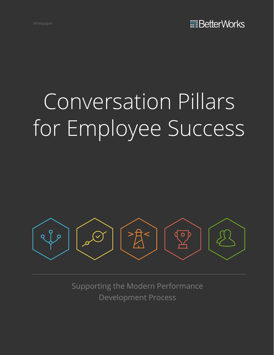# Conversation Pillars for Employee Success



Supporting the Modern Performance Development Process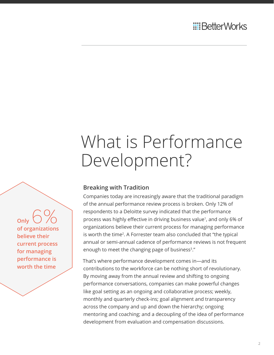### What is Performance Development?

**Breaking with Tradition**

Companies today are increasingly aware that the traditional paradigm of the annual performance review process is broken. Only 12% of respondents to a Deloitte survey indicated that the performance process was highly effective in driving business value<sup>1</sup>, and only 6% of organizations believe their current process for managing performance is worth the time<sup>2</sup>. A Forrester team also concluded that "the typical annual or semi-annual cadence of performance reviews is not frequent enough to meet the changing page of business<sup>3</sup>."

That's where performance development comes in—and its contributions to the workforce can be nothing short of revolutionary. By moving away from the annual review and shifting to ongoing performance conversations, companies can make powerful changes like goal setting as an ongoing and collaborative process; weekly, monthly and quarterly check-ins; goal alignment and transparency across the company and up and down the hierarchy; ongoing mentoring and coaching; and a decoupling of the idea of performance development from evaluation and compensation discussions.

**Only of organizations believe their current process for managing performance is worth the time**  6%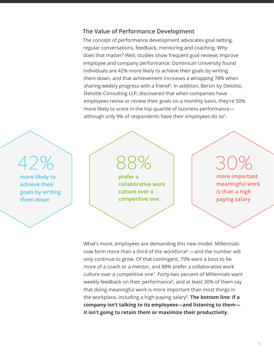#### **The Value of Performance Development**

The concept of performance development advocates goal setting, regular conversations, feedback, mentoring and coaching. Why does that matter? Well, studies show frequent goal reviews improve employee and company performance: Dominican University found individuals are 42% more likely to achieve their goals by writing them down, and that achievement increases a whopping 78% when sharing weekly progress with a friend<sup>4</sup>. In addition, Bersin by Deloitte, Deloitte Consulting LLP, discovered that when companies have employees revise or review their goals on a monthly basis, they're 50% more likely to score in the top quartile of business performance although only 9% of respondents have their employees do so $5$ .



What's more, employees are demanding this new model. Millennials now form more than a third of the workforce<sup>6</sup> —and the number will only continue to grow. Of that contingent, 79% want a boss to be more of a coach or a mentor, and 88% prefer a collaborative work culture over a competitive one<sup>7</sup>. Forty-two percent of Millennials want weekly feedback on their performance<sup>8</sup>, and at least 30% of them say that doing meaningful work is more important than most things in the workplace, including a high-paying salary<sup>9</sup>. **The bottom line: if a company isn't talking to its employees—and listening to them it isn't going to retain them or maximize their productivity.**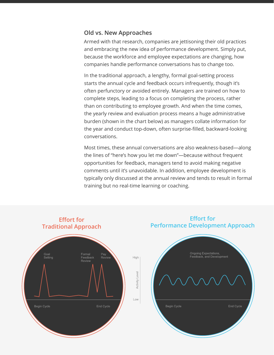#### **Old vs. New Approaches**

Armed with that research, companies are jettisoning their old practices and embracing the new idea of performance development. Simply put, because the workforce and employee expectations are changing, how companies handle performance conversations has to change too.

In the traditional approach, a lengthy, formal goal-setting process starts the annual cycle and feedback occurs infrequently, though it's often perfunctory or avoided entirely. Managers are trained on how to complete steps, leading to a focus on completing the process, rather than on contributing to employee growth. And when the time comes, the yearly review and evaluation process means a huge administrative burden (shown in the chart below) as managers collate information for the year and conduct top-down, often surprise-filled, backward-looking conversations.

Most times, these annual conversations are also weakness-based—along the lines of "here's how you let me down"—because without frequent opportunities for feedback, managers tend to avoid making negative comments until it's unavoidable. In addition, employee development is typically only discussed at the annual review and tends to result in formal training but no real-time learning or coaching.

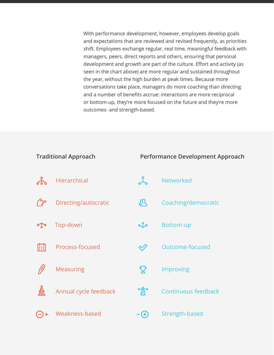With performance development, however, employees develop goals and expectations that are reviewed and revised frequently, as priorities shift. Employees exchange regular, real time, meaningful feedback with managers, peers, direct reports and others, ensuring that personal development and growth are part of the culture. Effort and activity (as seen in the chart above) are more regular and sustained throughout the year, without the high burden at peak times. Because more conversations take place, managers do more coaching than directing and a number of benefits accrue: interactions are more reciprocal or bottom-up, they're more focused on the future and they're more outcomes- and strength-based.

| <b>Traditional Approach</b> |                       |                           | Performance Development Approach |  |
|-----------------------------|-----------------------|---------------------------|----------------------------------|--|
|                             | <b>Hierarchical</b>   |                           | <b>Networked</b>                 |  |
|                             | Directing/autocratic  | Д                         | Coaching/democratic              |  |
|                             | Top-down              | KIX                       | <b>Bottom-up</b>                 |  |
| 圃                           | Process-focused       |                           | Outcome-focused                  |  |
|                             | <b>Measuring</b>      | $\boldsymbol{\mathsf{Q}}$ | Improving                        |  |
|                             | Annual cycle feedback | *意                        | <b>Continuous feedback</b>       |  |
|                             | Weakness-based        | Œ                         | Strength-based                   |  |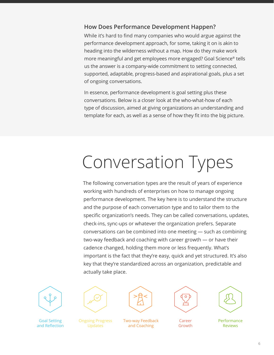#### **How Does Performance Development Happen?**

While it's hard to find many companies who would argue against the performance development approach, for some, taking it on is akin to heading into the wilderness without a map. How do they make work more meaningful and get employees more engaged? Goal Science® tells us the answer is a company-wide commitment to setting connected, supported, adaptable, progress-based and aspirational goals, plus a set of ongoing conversations.

In essence, performance development is goal setting plus these conversations. Below is a closer look at the who-what-how of each type of discussion, aimed at giving organizations an understanding and template for each, as well as a sense of how they fit into the big picture.

## Conversation Types

The following conversation types are the result of years of experience working with hundreds of enterprises on how to manage ongoing performance development. The key here is to understand the structure and the purpose of each conversation type and to tailor them to the specific organization's needs. They can be called conversations, updates, check-ins, sync-ups or whatever the organization prefers. Separate conversations can be combined into one meeting — such as combining two-way feedback and coaching with career growth — or have their cadence changed, holding them more or less frequently. What's important is the fact that they're easy, quick and yet structured. It's also key that they're standardized across an organization, predictable and actually take place.





Ongoing Progress Updates



Two-way Feedback and Coaching







**Performance** Reviews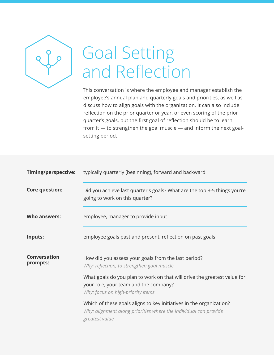

### Goal Setting and Reflection

This conversation is where the employee and manager establish the employee's annual plan and quarterly goals and priorities, as well as discuss how to align goals with the organization. It can also include reflection on the prior quarter or year, or even scoring of the prior quarter's goals, but the first goal of reflection should be to learn from it  $-$  to strengthen the goal muscle  $-$  and inform the next goalsetting period.

| <b>Timing/perspective:</b> | typically quarterly (beginning), forward and backward                                                                                                     |
|----------------------------|-----------------------------------------------------------------------------------------------------------------------------------------------------------|
| <b>Core question:</b>      | Did you achieve last quarter's goals? What are the top 3-5 things you're<br>going to work on this quarter?                                                |
| <b>Who answers:</b>        | employee, manager to provide input                                                                                                                        |
| Inputs:                    | employee goals past and present, reflection on past goals                                                                                                 |
| Conversation<br>prompts:   | How did you assess your goals from the last period?<br>Why: reflection, to strengthen goal muscle                                                         |
|                            | What goals do you plan to work on that will drive the greatest value for<br>your role, your team and the company?<br>Why: focus on high-priority items    |
|                            | Which of these goals aligns to key initiatives in the organization?<br>Why: alignment along priorities where the individual can provide<br>greatest value |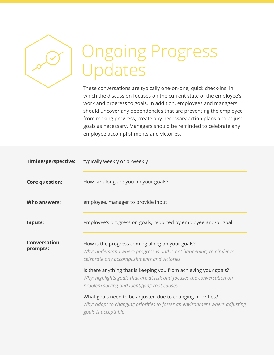

### Ongoing Progress Updates

These conversations are typically one-on-one, quick check-ins, in which the discussion focuses on the current state of the employee's work and progress to goals. In addition, employees and managers should uncover any dependencies that are preventing the employee from making progress, create any necessary action plans and adjust goals as necessary. Managers should be reminded to celebrate any employee accomplishments and victories.

| Timing/perspective:             | typically weekly or bi-weekly                                                                                                                                                             |
|---------------------------------|-------------------------------------------------------------------------------------------------------------------------------------------------------------------------------------------|
| <b>Core question:</b>           | How far along are you on your goals?                                                                                                                                                      |
| Who answers:                    | employee, manager to provide input                                                                                                                                                        |
| Inputs:                         | employee's progress on goals, reported by employee and/or goal                                                                                                                            |
| <b>Conversation</b><br>prompts: | How is the progress coming along on your goals?<br>Why: understand where progress is and is not happening, reminder to<br>celebrate any accomplishments and victories                     |
|                                 | Is there anything that is keeping you from achieving your goals?<br>Why: highlights goals that are at risk and focuses the conversation on<br>problem solving and identifying root causes |
|                                 | What goals need to be adjusted due to changing priorities?<br>Why: adapt to changing priorities to foster an environment where adjusting<br>goals is acceptable                           |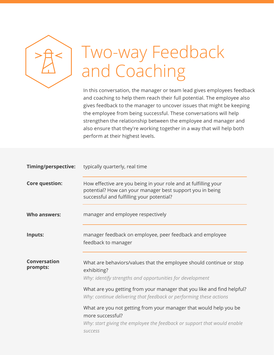

### Two-way Feedback and Coaching

In this conversation, the manager or team lead gives employees feedback and coaching to help them reach their full potential. The employee also gives feedback to the manager to uncover issues that might be keeping the employee from being successful. These conversations will help strengthen the relationship between the employee and manager and also ensure that they're working together in a way that will help both perform at their highest levels.

| Timing/perspective:      | typically quarterly, real time                                                                                                                                                      |
|--------------------------|-------------------------------------------------------------------------------------------------------------------------------------------------------------------------------------|
| <b>Core question:</b>    | How effective are you being in your role and at fulfilling your<br>potential? How can your manager best support you in being<br>successful and fulfilling your potential?           |
| <b>Who answers:</b>      | manager and employee respectively                                                                                                                                                   |
| Inputs:                  | manager feedback on employee, peer feedback and employee<br>feedback to manager                                                                                                     |
| Conversation<br>prompts: | What are behaviors/values that the employee should continue or stop<br>exhibiting?<br>Why: identify strengths and opportunities for development                                     |
|                          | What are you getting from your manager that you like and find helpful?<br>Why: continue delivering that feedback or performing these actions                                        |
|                          | What are you not getting from your manager that would help you be<br>more successful?<br>Why: start giving the employee the feedback or support that would enable<br><b>SUCCESS</b> |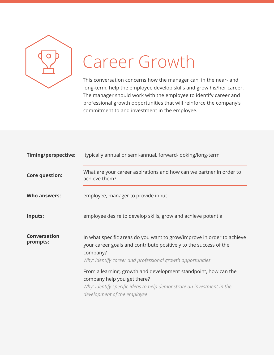

### Career Growth

This conversation concerns how the manager can, in the near- and long-term, help the employee develop skills and grow his/her career. The manager should work with the employee to identify career and professional growth opportunities that will reinforce the company's commitment to and investment in the employee.

| <b>Timing/perspective:</b>      | typically annual or semi-annual, forward-looking/long-term                                                                                                                                                            |
|---------------------------------|-----------------------------------------------------------------------------------------------------------------------------------------------------------------------------------------------------------------------|
| <b>Core question:</b>           | What are your career aspirations and how can we partner in order to<br>achieve them?                                                                                                                                  |
| Who answers:                    | employee, manager to provide input                                                                                                                                                                                    |
| Inputs:                         | employee desire to develop skills, grow and achieve potential                                                                                                                                                         |
| <b>Conversation</b><br>prompts: | In what specific areas do you want to grow/improve in order to achieve<br>your career goals and contribute positively to the success of the<br>company?<br>Why: identify career and professional growth opportunities |
|                                 | From a learning, growth and development standpoint, how can the<br>company help you get there?<br>Why: identify specific ideas to help demonstrate an investment in the<br>development of the employee                |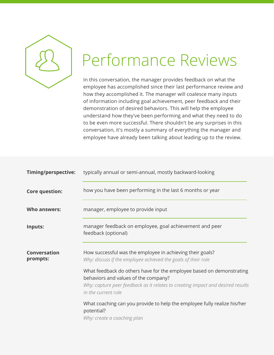

#### Performance Reviews

In this conversation, the manager provides feedback on what the employee has accomplished since their last performance review and how they accomplished it. The manager will coalesce many inputs of information including goal achievement, peer feedback and their demonstration of desired behaviors. This will help the employee understand how they've been performing and what they need to do to be even more successful. There shouldn't be any surprises in this conversation, it's mostly a summary of everything the manager and employee have already been talking about leading up to the review.

| typically annual or semi-annual, mostly backward-looking                                                                                                                                                                                                                                                                      |
|-------------------------------------------------------------------------------------------------------------------------------------------------------------------------------------------------------------------------------------------------------------------------------------------------------------------------------|
| how you have been performing in the last 6 months or year                                                                                                                                                                                                                                                                     |
| manager, employee to provide input                                                                                                                                                                                                                                                                                            |
| manager feedback on employee, goal achievement and peer<br>feedback (optional)                                                                                                                                                                                                                                                |
| How successful was the employee in achieving their goals?<br>Why: discuss if the employee achieved the goals of their role<br>What feedback do others have for the employee based on demonstrating<br>behaviors and values of the company?<br>Why: capture peer feedback as it relates to creating impact and desired results |
| in the current role<br>What coaching can you provide to help the employee fully realize his/her<br>potential?<br>Why: create a coaching plan                                                                                                                                                                                  |
|                                                                                                                                                                                                                                                                                                                               |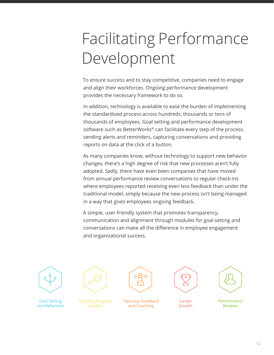### Facilitating Performance Development

To ensure success and to stay competitive, companies need to engage and align their workforces. Ongoing performance development provides the necessary framework to do so.

In addition, technology is available to ease the burden of implementing the standardized process across hundreds, thousands or tens of thousands of employees. Goal setting and performance development software such as BetterWorks® can facilitate every step of the process, sending alerts and reminders, capturing conversations and providing reports on data at the click of a button.

As many companies know, without technology to support new behavior changes, there's a high degree of risk that new processes aren't fully adopted. Sadly, there have even been companies that have moved from annual performance review conversations to regular check-ins where employees reported receiving even less feedback than under the traditional model, simply because the new process isn't being managed in a way that gives employees ongoing feedback.

A simple, user-friendly system that promotes transparency, communication and alignment through modules for goal setting and conversations can make all the difference in employee engagement and organizational success.